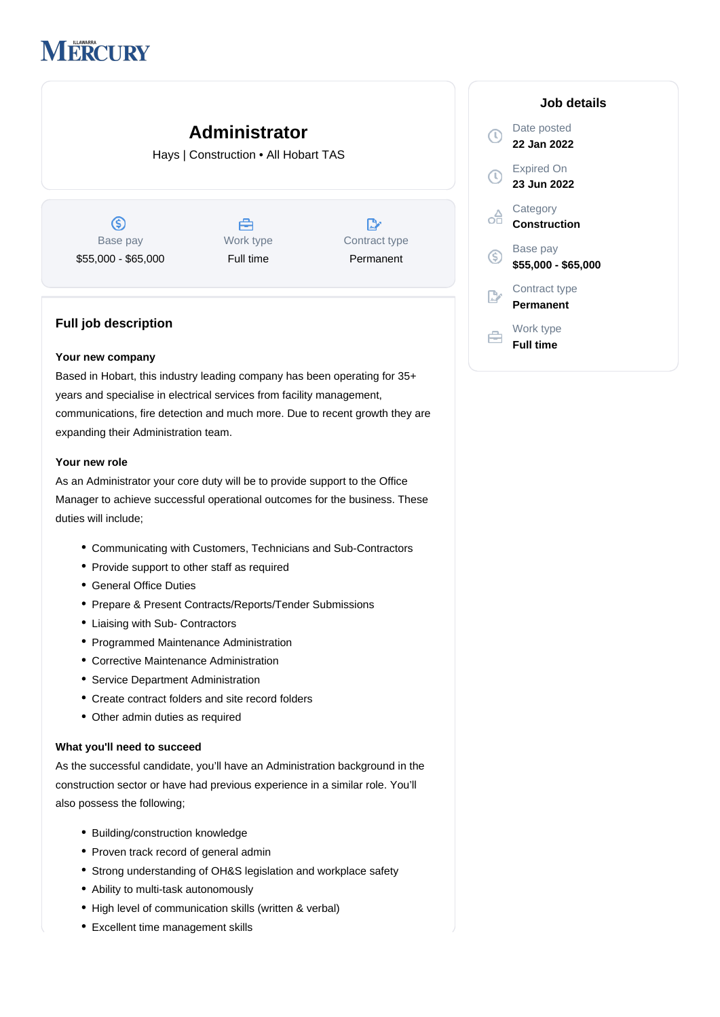# **MERCURY**

## **Administrator**

Hays | Construction • All Hobart TAS

 $\circledS$ Base pay \$55,000 - \$65,000



| Contract type |
|---------------|
| Permanent     |

#### **Full job description**

#### **Your new company**

Based in Hobart, this industry leading company has been operating for 35+ years and specialise in electrical services from facility management, communications, fire detection and much more. Due to recent growth they are expanding their Administration team.

#### **Your new role**

As an Administrator your core duty will be to provide support to the Office Manager to achieve successful operational outcomes for the business. These duties will include;

- Communicating with Customers, Technicians and Sub-Contractors
- Provide support to other staff as required
- General Office Duties
- Prepare & Present Contracts/Reports/Tender Submissions
- Liaising with Sub- Contractors
- Programmed Maintenance Administration
- Corrective Maintenance Administration
- Service Department Administration
- Create contract folders and site record folders
- Other admin duties as required

#### **What you'll need to succeed**

As the successful candidate, you'll have an Administration background in the construction sector or have had previous experience in a similar role. You'll also possess the following;

- Building/construction knowledge
- Proven track record of general admin
- Strong understanding of OH&S legislation and workplace safety
- Ability to multi-task autonomously
- High level of communication skills (written & verbal)
- Excellent time management skills

### **Job details** Date posted **22 Jan 2022** Expired On **23 Jun 2022 Category** oâ **Construction** Base pay  $\circledS$ **\$55,000 - \$65,000** Contract type **Permanent** Work type **Full time**

 $\bigcirc$ 

 $\mathbb{R}^2$ 

白